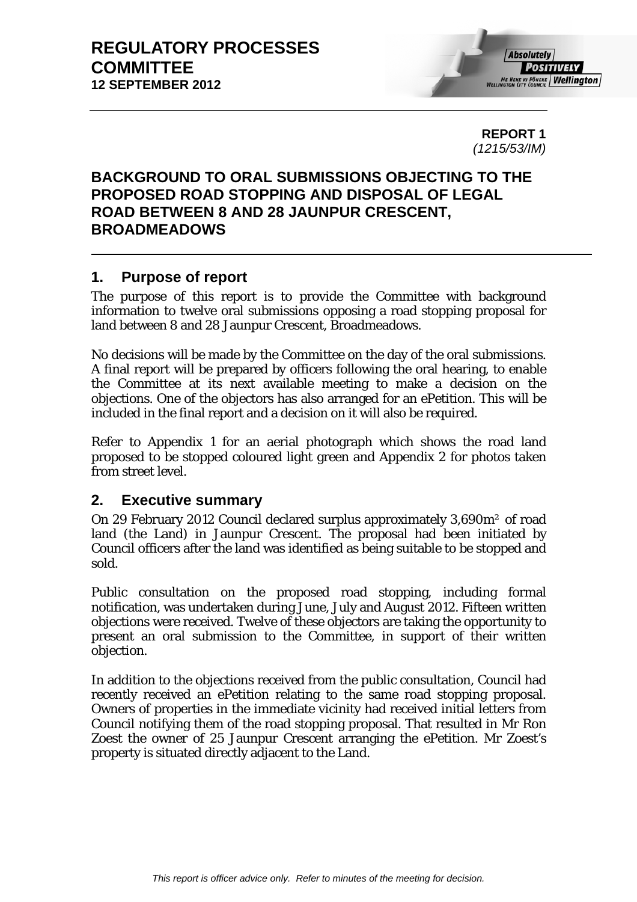

**REPORT 1**  *(1215/53/IM)* 

# **BACKGROUND TO ORAL SUBMISSIONS OBJECTING TO THE PROPOSED ROAD STOPPING AND DISPOSAL OF LEGAL ROAD BETWEEN 8 AND 28 JAUNPUR CRESCENT, BROADMEADOWS**

# **1. Purpose of report**

The purpose of this report is to provide the Committee with background information to twelve oral submissions opposing a road stopping proposal for land between 8 and 28 Jaunpur Crescent, Broadmeadows.

No decisions will be made by the Committee on the day of the oral submissions. A final report will be prepared by officers following the oral hearing, to enable the Committee at its next available meeting to make a decision on the objections. One of the objectors has also arranged for an ePetition. This will be included in the final report and a decision on it will also be required.

Refer to Appendix 1 for an aerial photograph which shows the road land proposed to be stopped coloured light green and Appendix 2 for photos taken from street level.

# **2. Executive summary**

On 29 February 2012 Council declared surplus approximately 3,690m² of road land (the Land) in Jaunpur Crescent. The proposal had been initiated by Council officers after the land was identified as being suitable to be stopped and sold.

Public consultation on the proposed road stopping, including formal notification, was undertaken during June, July and August 2012. Fifteen written objections were received. Twelve of these objectors are taking the opportunity to present an oral submission to the Committee, in support of their written objection.

In addition to the objections received from the public consultation, Council had recently received an ePetition relating to the same road stopping proposal. Owners of properties in the immediate vicinity had received initial letters from Council notifying them of the road stopping proposal. That resulted in Mr Ron Zoest the owner of 25 Jaunpur Crescent arranging the ePetition. Mr Zoest's property is situated directly adjacent to the Land.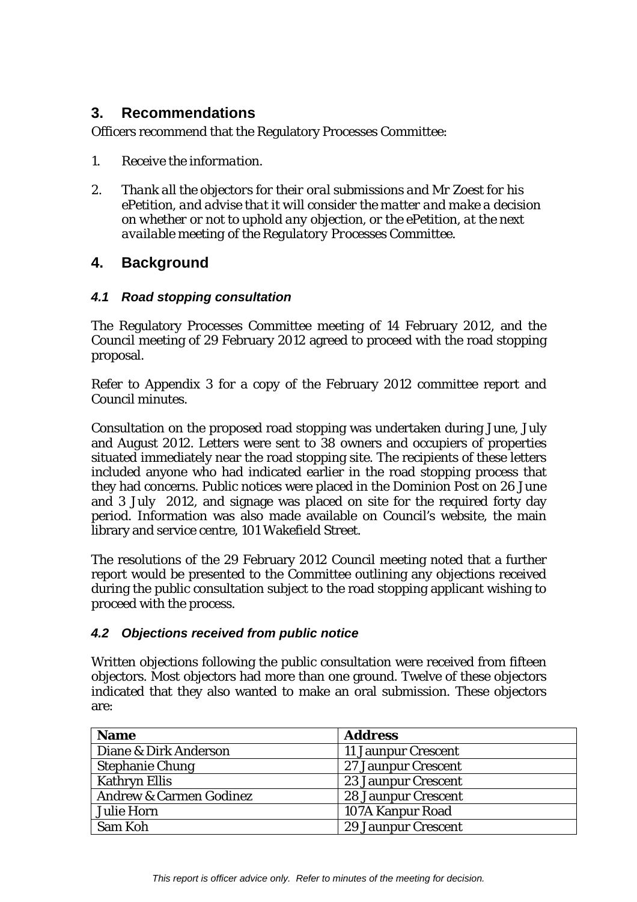# **3. Recommendations**

Officers recommend that the Regulatory Processes Committee:

- *1. Receive the information.*
- *2. Thank all the objectors for their oral submissions and Mr Zoest for his ePetition, and advise that it will consider the matter and make a decision on whether or not to uphold any objection, or the ePetition, at the next available meeting of the Regulatory Processes Committee.*

# **4. Background**

#### *4.1 Road stopping consultation*

The Regulatory Processes Committee meeting of 14 February 2012, and the Council meeting of 29 February 2012 agreed to proceed with the road stopping proposal.

Refer to Appendix 3 for a copy of the February 2012 committee report and Council minutes.

Consultation on the proposed road stopping was undertaken during June, July and August 2012. Letters were sent to 38 owners and occupiers of properties situated immediately near the road stopping site. The recipients of these letters included anyone who had indicated earlier in the road stopping process that they had concerns. Public notices were placed in the Dominion Post on 26 June and 3 July 2012, and signage was placed on site for the required forty day period. Information was also made available on Council's website, the main library and service centre, 101 Wakefield Street.

The resolutions of the 29 February 2012 Council meeting noted that a further report would be presented to the Committee outlining any objections received during the public consultation subject to the road stopping applicant wishing to proceed with the process.

# *4.2 Objections received from public notice*

Written objections following the public consultation were received from fifteen objectors. Most objectors had more than one ground. Twelve of these objectors indicated that they also wanted to make an oral submission. These objectors are:

| <b>Name</b>                        | <b>Address</b>             |
|------------------------------------|----------------------------|
| Diane & Dirk Anderson              | 11 Jaunpur Crescent        |
| <b>Stephanie Chung</b>             | 27 Jaunpur Crescent        |
| <b>Kathryn Ellis</b>               | <b>23 Jaunpur Crescent</b> |
| <b>Andrew &amp; Carmen Godinez</b> | <b>28 Jaunpur Crescent</b> |
| <b>Julie Horn</b>                  | 107A Kanpur Road           |
| Sam Koh                            | <b>29 Jaunpur Crescent</b> |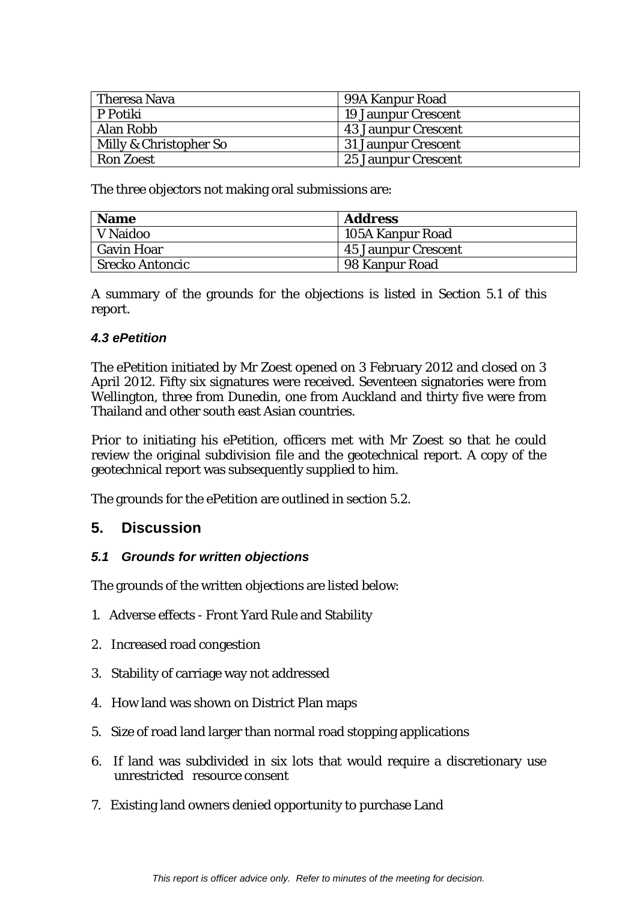| Theresa Nava           | 99A Kanpur Road            |
|------------------------|----------------------------|
| P Potiki               | <b>19 Jaunpur Crescent</b> |
| Alan Robb              | <b>43 Jaunpur Crescent</b> |
| Milly & Christopher So | <b>31 Jaunpur Crescent</b> |
| <b>Ron Zoest</b>       | 25 Jaunpur Crescent        |

The three objectors not making oral submissions are:

| <b>Name</b>            | <b>Address</b>          |
|------------------------|-------------------------|
| V Naidoo               | <b>105A Kanpur Road</b> |
| <b>Gavin Hoar</b>      | 45 Jaunpur Crescent     |
| <b>Srecko Antoncic</b> | 98 Kanpur Road          |

A summary of the grounds for the objections is listed in Section 5.1 of this report.

#### *4.3 ePetition*

The ePetition initiated by Mr Zoest opened on 3 February 2012 and closed on 3 April 2012. Fifty six signatures were received. Seventeen signatories were from Wellington, three from Dunedin, one from Auckland and thirty five were from Thailand and other south east Asian countries.

Prior to initiating his ePetition, officers met with Mr Zoest so that he could review the original subdivision file and the geotechnical report. A copy of the geotechnical report was subsequently supplied to him.

The grounds for the ePetition are outlined in section 5.2.

# **5. Discussion**

#### *5.1 Grounds for written objections*

The grounds of the written objections are listed below:

- 1. Adverse effects Front Yard Rule and Stability
- 2. Increased road congestion
- 3. Stability of carriage way not addressed
- 4. How land was shown on District Plan maps
- 5. Size of road land larger than normal road stopping applications
- 6. If land was subdivided in six lots that would require a discretionary use unrestricted resource consent
- 7. Existing land owners denied opportunity to purchase Land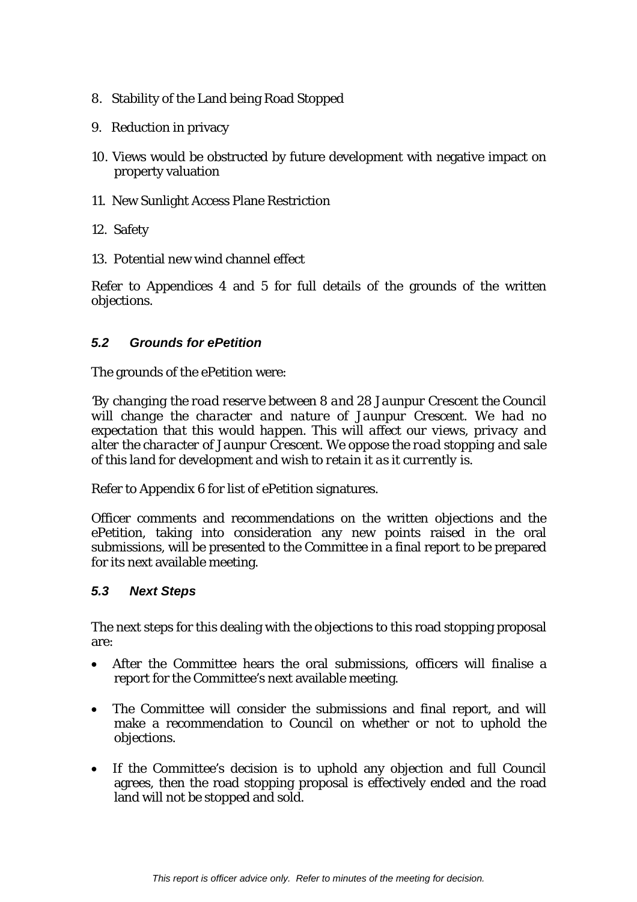- 8. Stability of the Land being Road Stopped
- 9. Reduction in privacy
- 10. Views would be obstructed by future development with negative impact on property valuation
- 11. New Sunlight Access Plane Restriction
- 12. Safety
- 13. Potential new wind channel effect

Refer to Appendices 4 and 5 for full details of the grounds of the written objections.

#### *5.2 Grounds for ePetition*

The grounds of the ePetition were:

*'By changing the road reserve between 8 and 28 Jaunpur Crescent the Council will change the character and nature of Jaunpur Crescent. We had no expectation that this would happen. This will affect our views, privacy and alter the character of Jaunpur Crescent. We oppose the road stopping and sale of this land for development and wish to retain it as it currently is.* 

Refer to Appendix 6 for list of ePetition signatures.

Officer comments and recommendations on the written objections and the ePetition, taking into consideration any new points raised in the oral submissions, will be presented to the Committee in a final report to be prepared for its next available meeting.

#### *5.3 Next Steps*

The next steps for this dealing with the objections to this road stopping proposal are:

- After the Committee hears the oral submissions, officers will finalise a report for the Committee's next available meeting.
- The Committee will consider the submissions and final report, and will make a recommendation to Council on whether or not to uphold the objections.
- If the Committee's decision is to uphold any objection and full Council agrees, then the road stopping proposal is effectively ended and the road land will not be stopped and sold.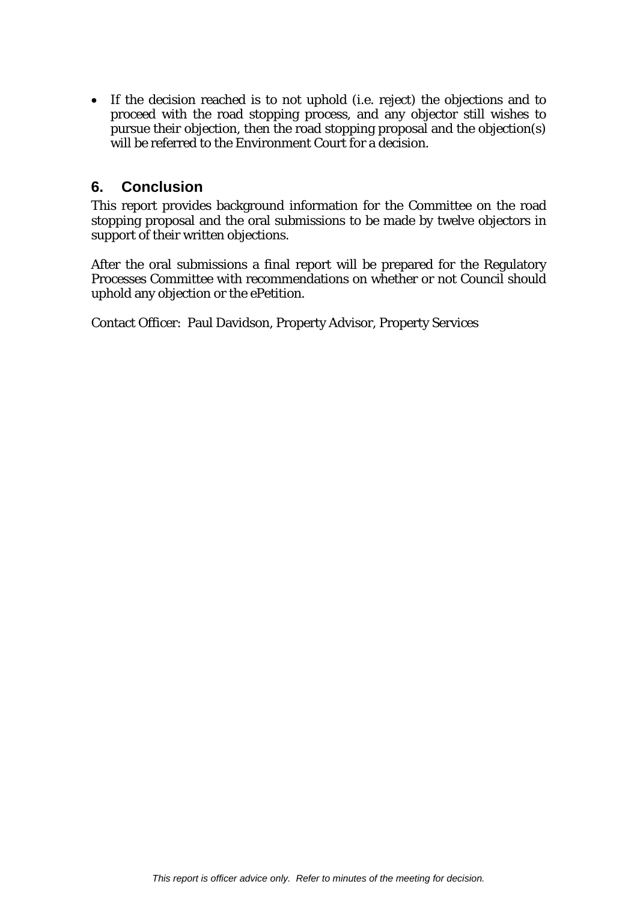If the decision reached is to not uphold (i.e. reject) the objections and to proceed with the road stopping process, and any objector still wishes to pursue their objection, then the road stopping proposal and the objection(s) will be referred to the Environment Court for a decision.

# **6. Conclusion**

This report provides background information for the Committee on the road stopping proposal and the oral submissions to be made by twelve objectors in support of their written objections.

After the oral submissions a final report will be prepared for the Regulatory Processes Committee with recommendations on whether or not Council should uphold any objection or the ePetition.

Contact Officer: Paul Davidson, Property Advisor, Property Services